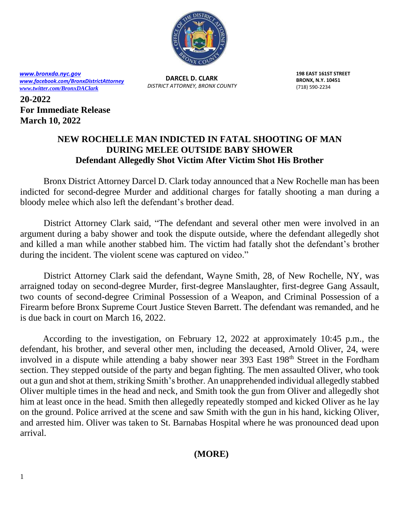

*[www.bronxda.nyc.gov](http://www.bronxda.nyc.gov/) [www.facebook.com/BronxDistrictAttorney](file://///bronxda.nycnet/shares/UNITS/PUBLIC-INFORMATION/Public-Information/2016/www.facebook.com/BronxDistrictAttorney) [www.twitter.com/BronxDAClark](file://///bronxda.nycnet/shares/UNITS/PUBLIC-INFORMATION/Public-Information/2016/www.twitter.com/BronxDAClark)*

**DARCEL D. CLARK** *DISTRICT ATTORNEY, BRONX COUNTY* **198 EAST 161ST STREET BRONX, N.Y. 10451** (718) 590-2234

**20-2022 For Immediate Release March 10, 2022**

## **NEW ROCHELLE MAN INDICTED IN FATAL SHOOTING OF MAN DURING MELEE OUTSIDE BABY SHOWER Defendant Allegedly Shot Victim After Victim Shot His Brother**

 Bronx District Attorney Darcel D. Clark today announced that a New Rochelle man has been indicted for second-degree Murder and additional charges for fatally shooting a man during a bloody melee which also left the defendant's brother dead.

District Attorney Clark said, "The defendant and several other men were involved in an argument during a baby shower and took the dispute outside, where the defendant allegedly shot and killed a man while another stabbed him. The victim had fatally shot the defendant's brother during the incident. The violent scene was captured on video."

District Attorney Clark said the defendant, Wayne Smith, 28, of New Rochelle, NY, was arraigned today on second-degree Murder, first-degree Manslaughter, first-degree Gang Assault, two counts of second-degree Criminal Possession of a Weapon, and Criminal Possession of a Firearm before Bronx Supreme Court Justice Steven Barrett. The defendant was remanded, and he is due back in court on March 16, 2022.

 According to the investigation, on February 12, 2022 at approximately 10:45 p.m., the defendant, his brother, and several other men, including the deceased, Arnold Oliver, 24, were involved in a dispute while attending a baby shower near 393 East 198<sup>th</sup> Street in the Fordham section. They stepped outside of the party and began fighting. The men assaulted Oliver, who took out a gun and shot at them, striking Smith's brother. An unapprehended individual allegedly stabbed Oliver multiple times in the head and neck, and Smith took the gun from Oliver and allegedly shot him at least once in the head. Smith then allegedly repeatedly stomped and kicked Oliver as he lay on the ground. Police arrived at the scene and saw Smith with the gun in his hand, kicking Oliver, and arrested him. Oliver was taken to St. Barnabas Hospital where he was pronounced dead upon arrival.

**(MORE)**